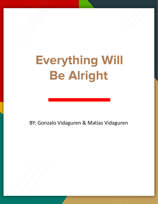## **Everything Will . Be Alright**

BY: Gonzalo Vidaguren & Matias Vidaguren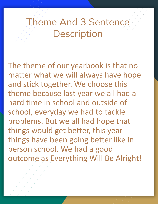## Theme And 3 Sentence **Description**

The theme of our yearbook is that no matter what we will always have hope and stick together. We choose this theme because last year we all had a hard time in school and outside of school, everyday we had to tackle problems. But we all had hope that things would get better, this year things have been going better like in person school. We had a good outcome as Everything Will Be Alright!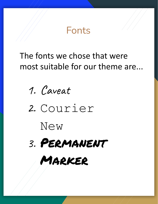

## The fonts we chose that were most suitable for our theme are...



2. Courier

New



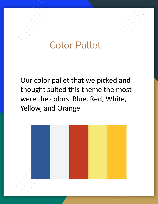## Color Pallet

Our color pallet that we picked and thought suited this theme the most were the colors Blue, Red, White, Yellow, and Orange

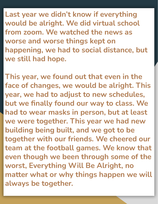**Last year we didn't know if everything would be alright. We did virtual school from zoom. We watched the news as worse and worse things kept on happening, we had to social distance, but we still had hope.**

**This year, we found out that even in the face of changes, we would be alright. This year, we had to adjust to new schedules, but we finally found our way to class. We had to wear masks in person, but at least we were together. This year we had new building being built, and we got to be together with our friends. We cheered our team at the football games. We know that even though we been through some of the worst, Everything Will Be Alright, no matter what or why things happen we will always be together.**